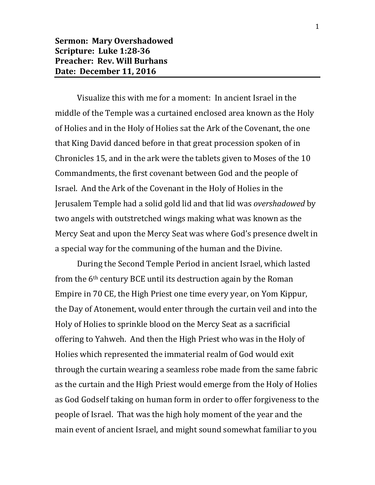Visualize this with me for a moment: In ancient Israel in the middle of the Temple was a curtained enclosed area known as the Holy of Holies and in the Holy of Holies sat the Ark of the Covenant, the one that King David danced before in that great procession spoken of in Chronicles 15, and in the ark were the tablets given to Moses of the 10 Commandments, the first covenant between God and the people of Israel. And the Ark of the Covenant in the Holy of Holies in the Jerusalem Temple had a solid gold lid and that lid was *overshadowed* by two angels with outstretched wings making what was known as the Mercy Seat and upon the Mercy Seat was where God's presence dwelt in a special way for the communing of the human and the Divine.

During the Second Temple Period in ancient Israel, which lasted from the 6th century BCE until its destruction again by the Roman Empire in 70 CE, the High Priest one time every year, on Yom Kippur, the Day of Atonement, would enter through the curtain veil and into the Holy of Holies to sprinkle blood on the Mercy Seat as a sacrificial offering to Yahweh. And then the High Priest who was in the Holy of Holies which represented the immaterial realm of God would exit through the curtain wearing a seamless robe made from the same fabric as the curtain and the High Priest would emerge from the Holy of Holies as God Godself taking on human form in order to offer forgiveness to the people of Israel. That was the high holy moment of the year and the main event of ancient Israel, and might sound somewhat familiar to you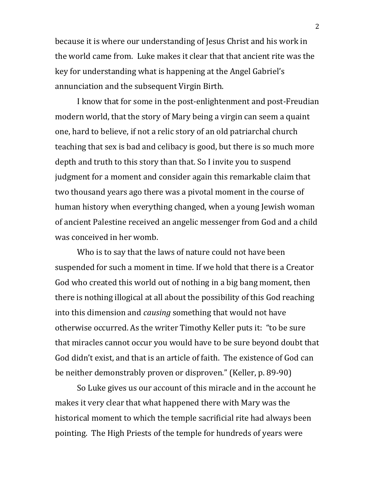because it is where our understanding of Jesus Christ and his work in the world came from. Luke makes it clear that that ancient rite was the key for understanding what is happening at the Angel Gabriel's annunciation and the subsequent Virgin Birth.

I know that for some in the post-enlightenment and post-Freudian modern world, that the story of Mary being a virgin can seem a quaint one, hard to believe, if not a relic story of an old patriarchal church teaching that sex is bad and celibacy is good, but there is so much more depth and truth to this story than that. So I invite you to suspend judgment for a moment and consider again this remarkable claim that two thousand years ago there was a pivotal moment in the course of human history when everything changed, when a young Jewish woman of ancient Palestine received an angelic messenger from God and a child was conceived in her womb.

Who is to say that the laws of nature could not have been suspended for such a moment in time. If we hold that there is a Creator God who created this world out of nothing in a big bang moment, then there is nothing illogical at all about the possibility of this God reaching into this dimension and *causing* something that would not have otherwise occurred. As the writer Timothy Keller puts it: "to be sure that miracles cannot occur you would have to be sure beyond doubt that God didn't exist, and that is an article of faith. The existence of God can be neither demonstrably proven or disproven." (Keller, p. 89-90)

So Luke gives us our account of this miracle and in the account he makes it very clear that what happened there with Mary was the historical moment to which the temple sacrificial rite had always been pointing. The High Priests of the temple for hundreds of years were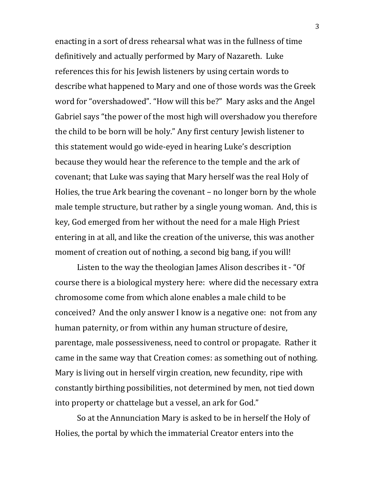enacting in a sort of dress rehearsal what was in the fullness of time definitively and actually performed by Mary of Nazareth. Luke references this for his Jewish listeners by using certain words to describe what happened to Mary and one of those words was the Greek word for "overshadowed". "How will this be?" Mary asks and the Angel Gabriel says "the power of the most high will overshadow you therefore the child to be born will be holy." Any first century Jewish listener to this statement would go wide-eyed in hearing Luke's description because they would hear the reference to the temple and the ark of covenant; that Luke was saying that Mary herself was the real Holy of Holies, the true Ark bearing the covenant – no longer born by the whole male temple structure, but rather by a single young woman. And, this is key, God emerged from her without the need for a male High Priest entering in at all, and like the creation of the universe, this was another moment of creation out of nothing, a second big bang, if you will!

Listen to the way the theologian James Alison describes it - "Of course there is a biological mystery here: where did the necessary extra chromosome come from which alone enables a male child to be conceived? And the only answer I know is a negative one: not from any human paternity, or from within any human structure of desire, parentage, male possessiveness, need to control or propagate. Rather it came in the same way that Creation comes: as something out of nothing. Mary is living out in herself virgin creation, new fecundity, ripe with constantly birthing possibilities, not determined by men, not tied down into property or chattelage but a vessel, an ark for God."

So at the Annunciation Mary is asked to be in herself the Holy of Holies, the portal by which the immaterial Creator enters into the